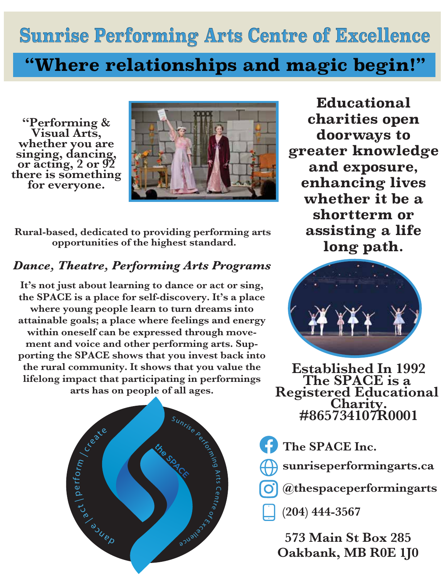**Sunrise Performing Arts Centre of Excellence**

## **''Where relationships and magic begin!''**

**"Performing & Visual Arts, whether you are singing, dancing, or acting, 2 or 92 there is something for everyone.**



**Rural-based, dedicated to providing performing arts opportunities of the highest standard.**

## *Dance, Theatre, Performing Arts Programs*

**It's not just about learning to dance or act or sing, the SPACE is a place for self-discovery. It's a place where young people learn to turn dreams into attainable goals; a place where feelings and energy within oneself can be expressed through movement and voice and other performing arts. Supporting the SPACE shows that you invest back into the rural community. It shows that you value the lifelong impact that participating in performings arts has on people of all ages.**



**Educational charities open doorways to greater knowledge and exposure, enhancing lives whether it be a shortterm or assisting a life long path.**



**Established In 1992 The SPACE is a**<br>**Registered Educational Registered Educational Charity. #865734107R0001**

**The SPACE Inc.** 

- **sunriseperformingarts.ca**
- **@thespaceperformingarts**

**(204) 444-3567**

**573 Main St Box 285 Oakbank, MB R0E 1J0**